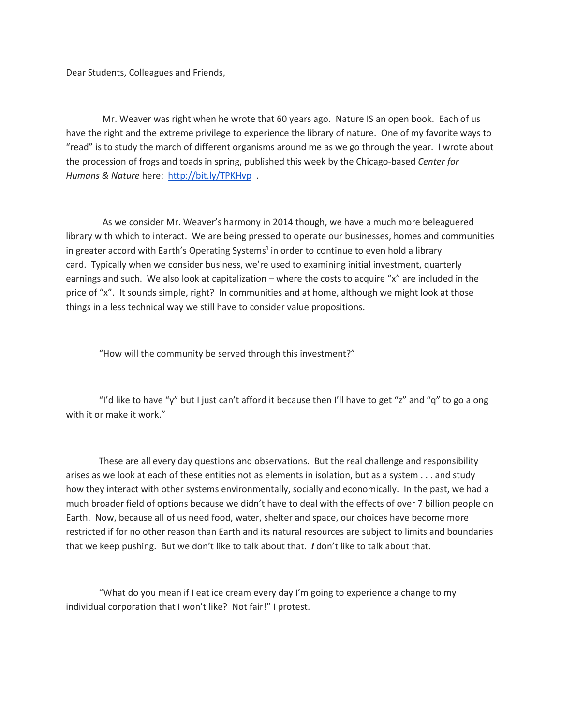Dear Students, Colleagues and Friends,

 Mr. Weaver was right when he wrote that 60 years ago. Nature IS an open book. Each of us have the right and the extreme privilege to experience the library of nature. One of my favorite ways to "read" is to study the march of different organisms around me as we go through the year. I wrote about the procession of frogs and toads in spring, published this week by the Chicago-based Center for Humans & Nature here: http://bit.ly/TPKHvp

 As we consider Mr. Weaver's harmony in 2014 though, we have a much more beleaguered library with which to interact. We are being pressed to operate our businesses, homes and communities in greater accord with Earth's Operating Systems<sup>1</sup> in order to continue to even hold a library card. Typically when we consider business, we're used to examining initial investment, quarterly earnings and such. We also look at capitalization – where the costs to acquire "x" are included in the price of "x". It sounds simple, right? In communities and at home, although we might look at those things in a less technical way we still have to consider value propositions.

"How will the community be served through this investment?"

"I'd like to have "y" but I just can't afford it because then I'll have to get "z" and "q" to go along with it or make it work."

These are all every day questions and observations. But the real challenge and responsibility arises as we look at each of these entities not as elements in isolation, but as a system . . . and study how they interact with other systems environmentally, socially and economically. In the past, we had a much broader field of options because we didn't have to deal with the effects of over 7 billion people on Earth. Now, because all of us need food, water, shelter and space, our choices have become more restricted if for no other reason than Earth and its natural resources are subject to limits and boundaries that we keep pushing. But we don't like to talk about that. I don't like to talk about that.

"What do you mean if I eat ice cream every day I'm going to experience a change to my individual corporation that I won't like? Not fair!" I protest.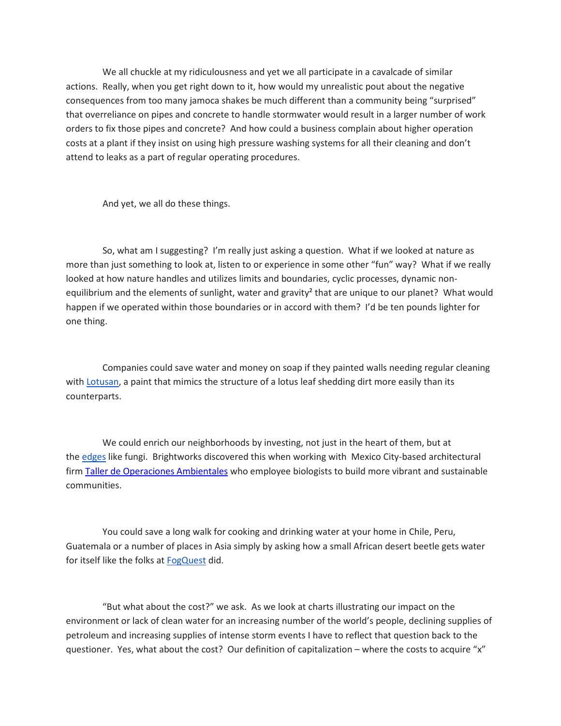We all chuckle at my ridiculousness and yet we all participate in a cavalcade of similar actions. Really, when you get right down to it, how would my unrealistic pout about the negative consequences from too many jamoca shakes be much different than a community being "surprised" that overreliance on pipes and concrete to handle stormwater would result in a larger number of work orders to fix those pipes and concrete? And how could a business complain about higher operation costs at a plant if they insist on using high pressure washing systems for all their cleaning and don't attend to leaks as a part of regular operating procedures.

And yet, we all do these things.

 So, what am I suggesting? I'm really just asking a question. What if we looked at nature as more than just something to look at, listen to or experience in some other "fun" way? What if we really looked at how nature handles and utilizes limits and boundaries, cyclic processes, dynamic nonequilibrium and the elements of sunlight, water and gravity<sup>2</sup> that are unique to our planet? What would happen if we operated within those boundaries or in accord with them? I'd be ten pounds lighter for one thing.

 Companies could save water and money on soap if they painted walls needing regular cleaning with Lotusan, a paint that mimics the structure of a lotus leaf shedding dirt more easily than its counterparts.

 We could enrich our neighborhoods by investing, not just in the heart of them, but at the edges like fungi. Brightworks discovered this when working with Mexico City-based architectural firm Taller de Operaciones Ambientales who employee biologists to build more vibrant and sustainable communities.

 You could save a long walk for cooking and drinking water at your home in Chile, Peru, Guatemala or a number of places in Asia simply by asking how a small African desert beetle gets water for itself like the folks at FogQuest did.

 "But what about the cost?" we ask. As we look at charts illustrating our impact on the environment or lack of clean water for an increasing number of the world's people, declining supplies of petroleum and increasing supplies of intense storm events I have to reflect that question back to the questioner. Yes, what about the cost? Our definition of capitalization – where the costs to acquire "x"